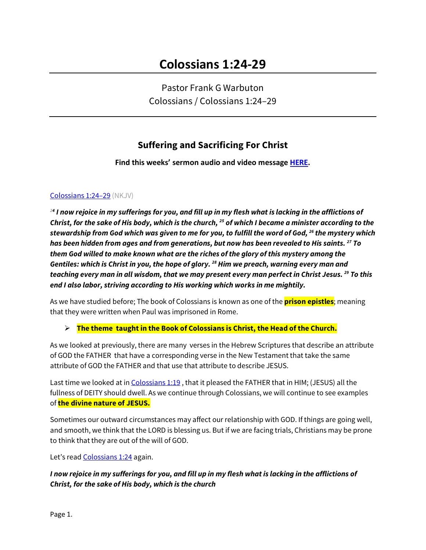Pastor Frank G Warbuton Colossians / Colossians 1:24–29

# **Suffering and Sacrificing For Christ**

**Find this weeks' sermon audio and video message [HERE.](http://www.ccelkgrove.org/guest-speakers)**

## Colossians 1:24–29 (NKJV)

*<sup>24</sup> I now rejoice in my sufferings for you, and fill up in my flesh what is lacking in the afflictions of Christ, for the sake of His body, which is the church, 25 of which I became a minister according to the stewardship from God which was given to me for you, to fulfill the word of God, 26 the mystery which has been hidden from ages and from generations, but now has been revealed to His saints. 27 To them God willed to make known what are the riches of the glory of this mystery among the Gentiles: which is Christ in you, the hope of glory. 28 Him we preach, warning every man and teaching every man in all wisdom, that we may present every man perfect in Christ Jesus. 29 To this end I also labor, striving according to His working which works in me mightily.*

As we have studied before; The book of Colossians is known as one of the **prison epistles**; meaning that they were written when Paul was imprisoned in Rome.

## **The theme taught in the Book of Colossians is Christ, the Head of the Church.**

As we looked at previously, there are many verses in the Hebrew Scriptures that describe an attribute of GOD the FATHER that have a corresponding verse in the New Testament that take the same attribute of GOD the FATHER and that use that attribute to describe JESUS.

Last time we looked at in Colossians 1:19 , that it pleased the FATHER that in HIM; (JESUS) all the fullness of DEITY should dwell. As we continue through Colossians, we will continue to see examples of **the divine nature of JESUS.**

Sometimes our outward circumstances may affect our relationship with GOD. If things are going well, and smooth, we think that the LORD is blessing us. But if we are facing trials, Christians may be prone to think that they are out of the will of GOD.

Let's read **Colossians 1:24** again.

*I now rejoice in my sufferings for you, and fill up in my flesh what is lacking in the afflictions of Christ, for the sake of His body, which is the church*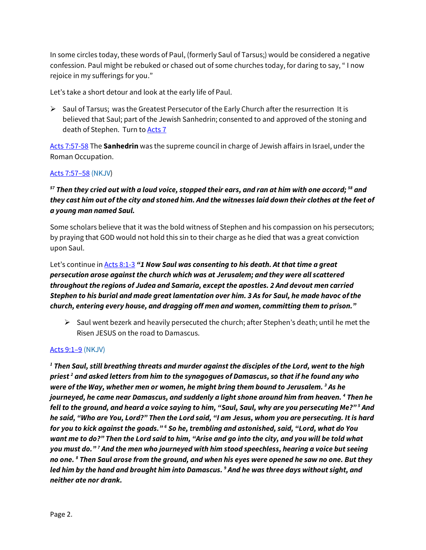In some circles today, these words of Paul, (formerly Saul of Tarsus;) would be considered a negative confession. Paul might be rebuked or chased out of some churches today, for daring to say, " I now rejoice in my sufferings for you."

Let's take a short detour and look at the early life of Paul.

 $\triangleright$  Saul of Tarsus; was the Greatest Persecutor of the Early Church after the resurrection It is believed that Saul; part of the Jewish Sanhedrin; consented to and approved of the stoning and death of Stephen. Turn to **Acts 7** 

Acts 7:57-58 The **Sanhedrin** was the supreme council in charge of Jewish affairs in Israel, under the Roman Occupation.

## Acts 7:57–58 (NKJV)

## *<sup>57</sup> Then they cried out with a loud voice, stopped their ears, and ran at him with one accord; 58 and they cast him out of the city and stoned him. And the witnesses laid down their clothes at the feet of a young man named Saul.*

Some scholars believe that it was the bold witness of Stephen and his compassion on his persecutors; by praying that GOD would not hold this sin to their charge as he died that was a great conviction upon Saul.

Let's continue in **Acts 8:1-3 "1 Now Saul was consenting to his death. At that time a great** *persecution arose against the church which was at Jerusalem; and they were all scattered throughout the regions of Judea and Samaria, except the apostles. 2 And devout men carried Stephen to his burial and made great lamentation over him. 3 As for Saul, he made havoc of the church, entering every house, and dragging off men and women, committing them to prison."* 

 $\triangleright$  Saul went bezerk and heavily persecuted the church; after Stephen's death; until he met the Risen JESUS on the road to Damascus.

## Acts 9:1–9 (NKJV)

*<sup>1</sup> Then Saul, still breathing threats and murder against the disciples of the Lord, went to the high priest 2 and asked letters from him to the synagogues of Damascus, so that if he found any who were of the Way, whether men or women, he might bring them bound to Jerusalem. 3 As he journeyed, he came near Damascus, and suddenly a light shone around him from heaven. 4 Then he fell to the ground, and heard a voice saying to him, "Saul, Saul, why are you persecuting Me?" 5 And he said, "Who are You, Lord?" Then the Lord said, "I am Jesus, whom you are persecuting. It is hard for you to kick against the goads." 6 So he, trembling and astonished, said, "Lord, what do You want me to do?" Then the Lord said to him, "Arise and go into the city, and you will be told what you must do." 7 And the men who journeyed with him stood speechless, hearing a voice but seeing no one. 8 Then Saul arose from the ground, and when his eyes were opened he saw no one. But they led him by the hand and brought him into Damascus. 9 And he was three days without sight, and neither ate nor drank.*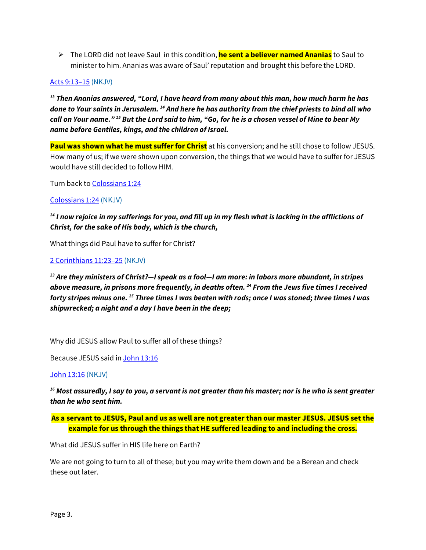The LORD did not leave Saul in this condition, **he sent a believer named Ananias** to Saul to minister to him. Ananias was aware of Saul' reputation and brought this before the LORD.

## Acts 9:13–15 (NKJV)

*<sup>13</sup> Then Ananias answered, "Lord, I have heard from many about this man, how much harm he has done to Your saints in Jerusalem. 14 And here he has authority from the chief priests to bind all who call on Your name." 15 But the Lord said to him, "Go, for he is a chosen vessel of Mine to bear My name before Gentiles, kings, and the children of Israel.*

**Paul was shown what he must suffer for Christ** at his conversion; and he still chose to follow JESUS. How many of us; if we were shown upon conversion, the things that we would have to suffer for JESUS would have still decided to follow HIM.

Turn back to Colossians 1:24

## Colossians 1:24 (NKJV)

*<sup>24</sup> I now rejoice in my sufferings for you, and fill up in my flesh what is lacking in the afflictions of Christ, for the sake of His body, which is the church,*

What things did Paul have to suffer for Christ?

## 2 Corinthians 11:23–25 (NKJV)

*<sup>23</sup> Are they ministers of Christ?—I speak as a fool—I am more: in labors more abundant, in stripes above measure, in prisons more frequently, in deaths often. 24 From the Jews five times I received forty stripes minus one. 25 Three times I was beaten with rods; once I was stoned; three times I was shipwrecked; a night and a day I have been in the deep;*

Why did JESUS allow Paul to suffer all of these things?

Because JESUS said in John 13:16

#### John 13:16 (NKJV)

*<sup>16</sup> Most assuredly, I say to you, a servant is not greater than his master; nor is he who is sent greater than he who sent him.*

**As a servant to JESUS, Paul and us as well are not greater than our master JESUS. JESUS set the example for us through the things that HE suffered leading to and including the cross.**

What did JESUS suffer in HIS life here on Earth?

We are not going to turn to all of these; but you may write them down and be a Berean and check these out later.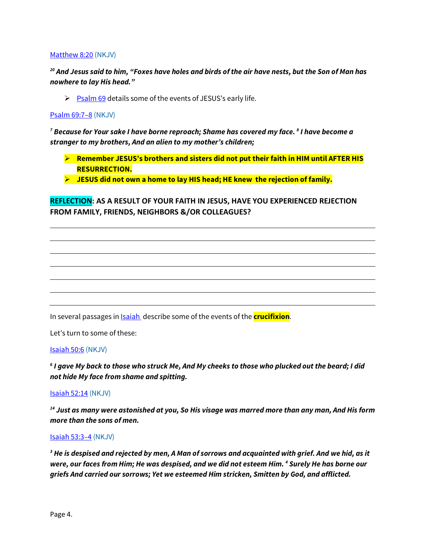#### Matthew 8:20 (NKJV)

*<sup>20</sup> And Jesus said to him, "Foxes have holes and birds of the air have nests, but the Son of Man has nowhere to lay His head."*

 $\triangleright$  Psalm 69 details some of the events of JESUS's early life.

#### Psalm 69:7–8 (NKJV)

*<sup>7</sup> Because for Your sake I have borne reproach; Shame has covered my face. 8 I have become a stranger to my brothers, And an alien to my mother's children;*

- **Remember JESUS's brothers and sisters did not put their faith in HIM until AFTER HIS RESURRECTION.**
- **JESUS did not own a home to lay HIS head; HE knew the rejection of family.**

## **REFLECTION: AS A RESULT OF YOUR FAITH IN JESUS, HAVE YOU EXPERIENCED REJECTION FROM FAMILY, FRIENDS, NEIGHBORS &/OR COLLEAGUES?**

In several passages in Isaiah describe some of the events of the **crucifixion**.

Let's turn to some of these:

#### Isaiah 50:6 (NKJV)

*<sup>6</sup> I gave My back to those who struck Me, And My cheeks to those who plucked out the beard; I did not hide My face from shame and spitting.*

Isaiah 52:14 (NKJV)

*<sup>14</sup> Just as many were astonished at you, So His visage was marred more than any man, And His form more than the sons of men.*

#### Isaiah 53:3–4 (NKJV)

*<sup>3</sup> He is despised and rejected by men, A Man of sorrows and acquainted with grief. And we hid, as it were, our faces from Him; He was despised, and we did not esteem Him. 4 Surely He has borne our griefs And carried our sorrows; Yet we esteemed Him stricken, Smitten by God, and afflicted.*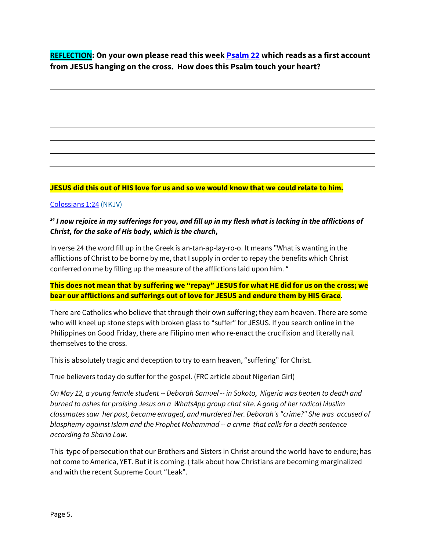**REFLECTION: On your own please read this week Psalm 22 which reads as a first account from JESUS hanging on the cross. How does this Psalm touch your heart?**

## **JESUS did this out of HIS love for us and so we would know that we could relate to him.**

## Colossians 1:24 (NKJV)

## *<sup>24</sup> I now rejoice in my sufferings for you, and fill up in my flesh what is lacking in the afflictions of Christ, for the sake of His body, which is the church,*

In verse 24 the word fill up in the Greek is an-tan-ap-lay-ro-o. It means "What is wanting in the afflictions of Christ to be borne by me, that I supply in order to repay the benefits which Christ conferred on me by filling up the measure of the afflictions laid upon him. "

## **This does not mean that by suffering we "repay" JESUS for what HE did for us on the cross; we bear our afflictions and sufferings out of love for JESUS and endure them by HIS Grace**.

There are Catholics who believe that through their own suffering; they earn heaven. There are some who will kneel up stone steps with broken glass to "suffer" for JESUS. If you search online in the Philippines on Good Friday, there are Filipino men who re-enact the crucifixion and literally nail themselves to the cross.

This is absolutely tragic and deception to try to earn heaven, "suffering" for Christ.

True believers today do suffer for the gospel. (FRC article about Nigerian Girl)

*On May 12, a young female student -- Deborah Samuel -- in Sokoto, Nigeria was beaten to death and burned to ashes for praising Jesus on a WhatsApp group chat site. A gang of her radical Muslim classmates saw her post, became enraged, and murdered her. Deborah's "crime?" She was accused of blasphemy against Islam and the Prophet Mohammad -- a crime that calls for a death sentence according to Sharia Law.*

This type of persecution that our Brothers and Sisters in Christ around the world have to endure; has not come to America, YET. But it is coming. ( talk about how Christians are becoming marginalized and with the recent Supreme Court "Leak".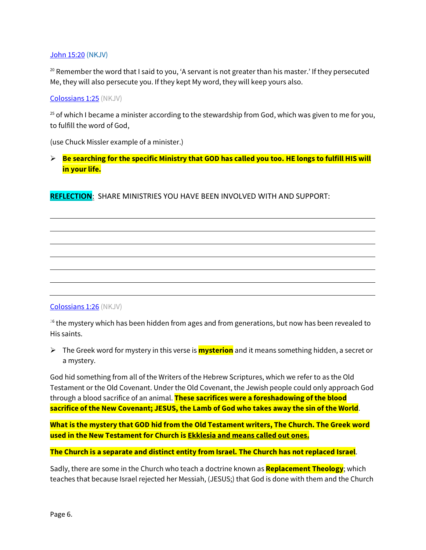## John 15:20 (NKJV)

<sup>20</sup> Remember the word that I said to you, 'A servant is not greater than his master.' If they persecuted Me, they will also persecute you. If they kept My word, they will keep yours also.

#### Colossians 1:25 (NKJV)

 $25$  of which I became a minister according to the stewardship from God, which was given to me for you, to fulfill the word of God,

(use Chuck Missler example of a minister.)

 **Be searching for the specific Ministry that GOD has called you too. HE longs to fulfill HIS will in your life.**

**REFLECTION**: SHARE MINISTRIES YOU HAVE BEEN INVOLVED WITH AND SUPPORT:

## Colossians 1:26 (NKJV)

 $26$  the mystery which has been hidden from ages and from generations, but now has been revealed to His saints.

 The Greek word for mystery in this verse is **mysterion** and it means something hidden, a secret or a mystery.

God hid something from all of the Writers of the Hebrew Scriptures, which we refer to as the Old Testament or the Old Covenant. Under the Old Covenant, the Jewish people could only approach God through a blood sacrifice of an animal. **These sacrifices were a foreshadowing of the blood sacrifice of the New Covenant; JESUS, the Lamb of God who takes away the sin of the World**.

**What is the mystery that GOD hid from the Old Testament writers, The Church. The Greek word used in the New Testament for Church is Ekklesia and means called out ones.**

**The Church is a separate and distinct entity from Israel. The Church has not replaced Israel**.

Sadly, there are some in the Church who teach a doctrine known as **Replacement Theology**; which teaches that because Israel rejected her Messiah, (JESUS;) that God is done with them and the Church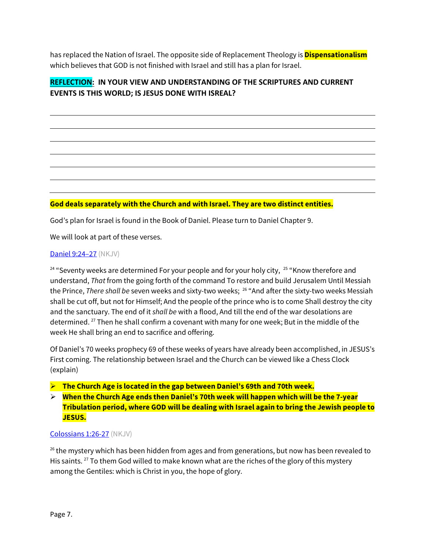has replaced the Nation of Israel. The opposite side of Replacement Theology is **Dispensationalism** which believes that GOD is not finished with Israel and still has a plan for Israel.

## **REFLECTION: IN YOUR VIEW AND UNDERSTANDING OF THE SCRIPTURES AND CURRENT EVENTS IS THIS WORLD; IS JESUS DONE WITH ISREAL?**

## **God deals separately with the Church and with Israel. They are two distinct entities.**

God's plan for Israel is found in the Book of Daniel. Please turn to Daniel Chapter 9.

We will look at part of these verses.

## Daniel 9:24–27 (NKJV)

 $24$  "Seventy weeks are determined For your people and for your holy city,  $25$  "Know therefore and understand, *That* from the going forth of the command To restore and build Jerusalem Until Messiah the Prince, *There shall be* seven weeks and sixty-two weeks; 26 "And after the sixty-two weeks Messiah shall be cut off, but not for Himself; And the people of the prince who is to come Shall destroy the city and the sanctuary. The end of it *shall be* with a flood, And till the end of the war desolations are determined. 27 Then he shall confirm a covenant with many for one week; But in the middle of the week He shall bring an end to sacrifice and offering.

Of Daniel's 70 weeks prophecy 69 of these weeks of years have already been accomplished, in JESUS's First coming. The relationship between Israel and the Church can be viewed like a Chess Clock (explain)

#### **The Church Age is located in the gap between Daniel's 69th and 70th week.**

 **When the Church Age ends then Daniel's 70th week will happen which will be the 7-year Tribulation period, where GOD will be dealing with Israel again to bring the Jewish people to JESUS.**

#### Colossians 1:26-27 (NKJV)

 $26$  the mystery which has been hidden from ages and from generations, but now has been revealed to His saints. <sup>27</sup> To them God willed to make known what are the riches of the glory of this mystery among the Gentiles: which is Christ in you, the hope of glory.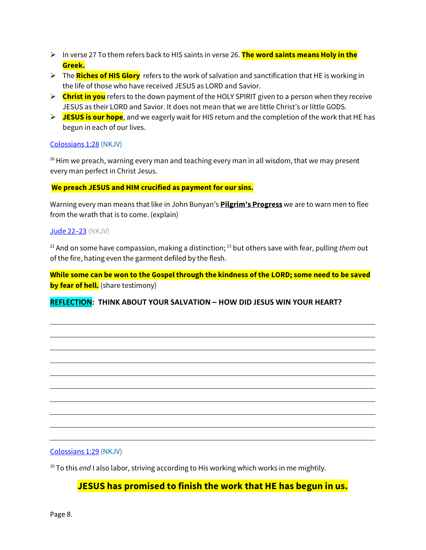- In verse 27 To them refers back to HIS saints in verse 26. **The word saints means Holy in the Greek.**
- The **Riches of HIS Glory** refers to the work of salvation and sanctification that HE is working in the life of those who have received JESUS as LORD and Savior.
- **Christ in you** refers to the down payment of the HOLY SPIRIT given to a person when they receive JESUS as their LORD and Savior. It does not mean that we are little Christ's or little GODS.
- **JESUS is our hope**, and we eagerly wait for HIS return and the completion of the work that HE has begun in each of our lives.

## Colossians 1:28 (NKJV)

 $28$  Him we preach, warning every man and teaching every man in all wisdom, that we may present every man perfect in Christ Jesus.

## **We preach JESUS and HIM crucified as payment for our sins.**

Warning every man means that like in John Bunyan's **Pilgrim's Progress** we are to warn men to flee from the wrath that is to come. (explain)

## Jude 22-23 (NKJV)

<sup>22</sup> And on some have compassion, making a distinction; 23 but others save with fear, pulling *them* out of the fire, hating even the garment defiled by the flesh.

**While some can be won to the Gospel through the kindness of the LORD; some need to be saved by fear of hell.** (share testimony)

## **REFLECTION: THINK ABOUT YOUR SALVATION – HOW DID JESUS WIN YOUR HEART?**

## Colossians 1:29 (NKJV)

<sup>29</sup> To this *end* I also labor, striving according to His working which works in me mightily.

# **JESUS has promised to finish the work that HE has begun in us.**